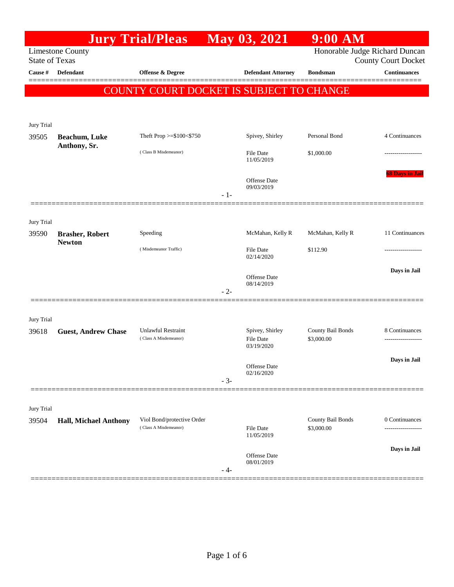|                                                  |                              | <b>Jury Trial/Pleas</b>                             |       | May 03, 2021                               | $9:00$ AM                       |                            |
|--------------------------------------------------|------------------------------|-----------------------------------------------------|-------|--------------------------------------------|---------------------------------|----------------------------|
| <b>Limestone County</b><br><b>State of Texas</b> |                              |                                                     |       |                                            | Honorable Judge Richard Duncan  | <b>County Court Docket</b> |
| Cause #                                          | Defendant                    | Offense & Degree                                    |       | <b>Defendant Attorney</b>                  | <b>Bondsman</b>                 | <b>Continuances</b>        |
|                                                  |                              | COUNTY COURT DOCKET IS SUBJECT TO CHANGE            |       |                                            |                                 |                            |
|                                                  |                              |                                                     |       |                                            |                                 |                            |
| Jury Trial                                       |                              |                                                     |       |                                            |                                 |                            |
| 39505                                            | <b>Beachum, Luke</b>         | Theft Prop $>=$ \$100 $<$ \$750                     |       | Spivey, Shirley                            | Personal Bond                   | 4 Continuances             |
|                                                  | Anthony, Sr.                 | (Class B Misdemeanor)                               |       | <b>File Date</b><br>11/05/2019             | \$1,000.00                      |                            |
|                                                  |                              |                                                     | $-1-$ | <b>Offense</b> Date<br>09/03/2019          |                                 | <b>68 Days in Jail</b>     |
|                                                  |                              |                                                     |       |                                            |                                 |                            |
| Jury Trial<br>39590                              | <b>Brasher, Robert</b>       | Speeding                                            |       | McMahan, Kelly R                           | McMahan, Kelly R                | 11 Continuances            |
|                                                  | <b>Newton</b>                | (Misdemeanor Traffic)                               |       | File Date<br>02/14/2020                    | \$112.90                        |                            |
|                                                  |                              |                                                     | $-2-$ | Offense Date<br>08/14/2019                 |                                 | Days in Jail               |
|                                                  |                              |                                                     |       |                                            |                                 |                            |
| Jury Trial                                       |                              |                                                     |       |                                            |                                 |                            |
| 39618                                            | <b>Guest, Andrew Chase</b>   | <b>Unlawful Restraint</b><br>(Class A Misdemeanor)  |       | Spivey, Shirley<br>File Date<br>03/19/2020 | County Bail Bonds<br>\$3,000.00 | 8 Continuances             |
|                                                  |                              |                                                     | $-3-$ | Offense Date<br>02/16/2020                 |                                 | Days in Jail               |
|                                                  |                              |                                                     |       |                                            |                                 |                            |
| Jury Trial                                       |                              |                                                     |       |                                            |                                 |                            |
| 39504                                            | <b>Hall, Michael Anthony</b> | Viol Bond/protective Order<br>(Class A Misdemeanor) |       | File Date<br>11/05/2019                    | County Bail Bonds<br>\$3,000.00 | 0 Continuances             |
|                                                  |                              |                                                     |       |                                            |                                 | Days in Jail               |
|                                                  |                              |                                                     | - 4-  | Offense Date<br>08/01/2019                 |                                 |                            |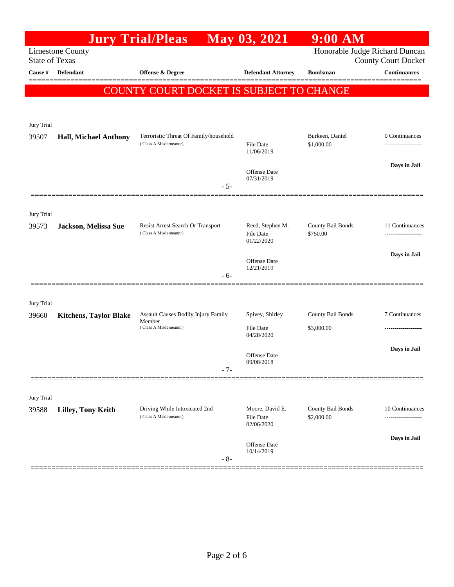|                       |                               | <b>Jury Trial/Pleas</b>                                         | May 03, 2021                                | $9:00$ AM                       |                                        |
|-----------------------|-------------------------------|-----------------------------------------------------------------|---------------------------------------------|---------------------------------|----------------------------------------|
| <b>State of Texas</b> | <b>Limestone County</b>       | Honorable Judge Richard Duncan<br><b>County Court Docket</b>    |                                             |                                 |                                        |
| Cause #               | Defendant                     | Offense & Degree                                                | <b>Defendant Attorney</b>                   | <b>Bondsman</b>                 | <b>Continuances</b>                    |
|                       |                               | COUNTY COURT DOCKET IS SUBJECT TO CHANGE                        |                                             |                                 |                                        |
| Jury Trial            |                               |                                                                 |                                             |                                 |                                        |
| 39507                 | <b>Hall, Michael Anthony</b>  | Terroristic Threat Of Family/household<br>(Class A Misdemeanor) | <b>File Date</b><br>11/06/2019              | Burkeen, Daniel<br>\$1,000.00   | 0 Continuances<br>                     |
|                       |                               | $-5-$                                                           | <b>Offense Date</b><br>07/31/2019           |                                 | Days in Jail                           |
|                       |                               |                                                                 |                                             |                                 |                                        |
| Jury Trial<br>39573   | Jackson, Melissa Sue          | Resist Arrest Search Or Transport<br>(Class A Misdemeanor)      | Reed, Stephen M.<br>File Date<br>01/22/2020 | County Bail Bonds<br>\$750.00   | 11 Continuances<br>------------------- |
|                       |                               | - 6-                                                            | Offense Date<br>12/21/2019                  |                                 | Days in Jail                           |
| Jury Trial<br>39660   | <b>Kitchens, Taylor Blake</b> | <b>Assault Causes Bodily Injury Family</b>                      | Spivey, Shirley                             | County Bail Bonds               | 7 Continuances                         |
|                       |                               | Member<br>(Class A Misdemeanor)                                 | File Date<br>04/28/2020                     | \$3,000.00                      |                                        |
|                       |                               | $-7-$                                                           | <b>Offense</b> Date<br>09/08/2018           |                                 | Days in Jail                           |
| Jury Trial            |                               |                                                                 |                                             |                                 |                                        |
| 39588                 | Lilley, Tony Keith            | Driving While Intoxicated 2nd<br>(Class A Misdemeanor)          | Moore, David E.<br>File Date<br>02/06/2020  | County Bail Bonds<br>\$2,000.00 | 10 Continuances<br>.                   |
|                       |                               | $-8-$                                                           | <b>Offense</b> Date<br>10/14/2019           |                                 | Days in Jail                           |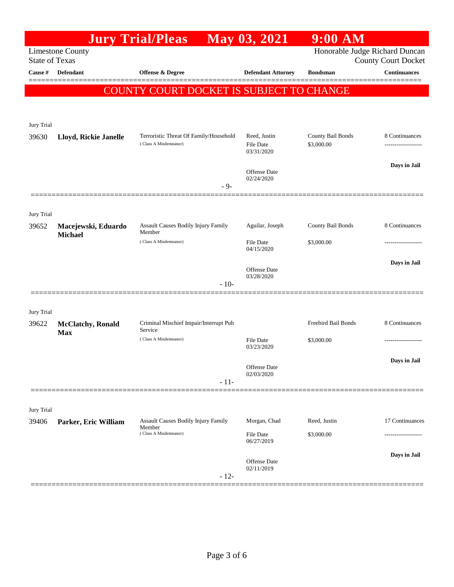|                       |                                         | <b>Jury Trial/Pleas</b>                                                | May 03, 2021                                                 | $9:00$ AM                       |                                |
|-----------------------|-----------------------------------------|------------------------------------------------------------------------|--------------------------------------------------------------|---------------------------------|--------------------------------|
| <b>State of Texas</b> | <b>Limestone County</b>                 |                                                                        | Honorable Judge Richard Duncan<br><b>County Court Docket</b> |                                 |                                |
| Cause #               | <b>Defendant</b>                        | Offense & Degree                                                       | <b>Defendant Attorney</b>                                    | <b>Bondsman</b>                 | <b>Continuances</b><br>======= |
|                       |                                         | COUNTY COURT DOCKET IS SUBJECT TO CHANGE                               |                                                              |                                 |                                |
| Jury Trial<br>39630   | Lloyd, Rickie Janelle                   | Terroristic Threat Of Family/Household<br>(Class A Misdemeanor)        | Reed, Justin<br>File Date<br>03/31/2020                      | County Bail Bonds<br>\$3,000.00 | 8 Continuances<br>.            |
|                       |                                         | $-9-$                                                                  | Offense Date<br>02/24/2020                                   |                                 | Days in Jail                   |
| Jury Trial<br>39652   | Macejewski, Eduardo                     | <b>Assault Causes Bodily Injury Family</b>                             | Aguilar, Joseph                                              | County Bail Bonds               | 8 Continuances                 |
|                       | <b>Michael</b>                          | Member<br>(Class A Misdemeanor)                                        | File Date<br>04/15/2020                                      | \$3,000.00                      | .                              |
|                       |                                         | $-10-$                                                                 | <b>Offense Date</b><br>03/28/2020                            |                                 | Days in Jail                   |
| Jury Trial            |                                         | Criminal Mischief Impair/Interrupt Pub                                 |                                                              | Freebird Bail Bonds             | 8 Continuances                 |
| 39622                 | <b>McClatchy</b> , Ronald<br><b>Max</b> | Service<br>(Class A Misdemeanor)                                       | File Date<br>03/23/2020                                      | \$3,000.00                      |                                |
|                       |                                         | $-11-$                                                                 | Offense Date<br>02/03/2020                                   |                                 | Days in Jail                   |
| Jury Trial            |                                         |                                                                        |                                                              |                                 |                                |
| 39406                 | Parker, Eric William                    | Assault Causes Bodily Injury Family<br>Member<br>(Class A Misdemeanor) | Morgan, Chad<br>File Date                                    | Reed, Justin<br>\$3,000.00      | 17 Continuances                |
|                       |                                         | $-12-$                                                                 | 06/27/2019<br>Offense Date<br>02/11/2019                     |                                 | Days in Jail                   |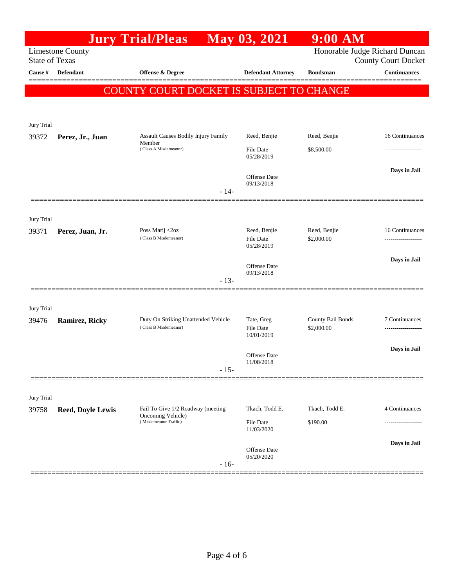|                       |                          | <b>Jury Trial/Pleas</b>                                |        | May 03, 2021                      | $9:00$ AM                      |                            |
|-----------------------|--------------------------|--------------------------------------------------------|--------|-----------------------------------|--------------------------------|----------------------------|
| <b>State of Texas</b> | <b>Limestone County</b>  |                                                        |        |                                   | Honorable Judge Richard Duncan | <b>County Court Docket</b> |
| Cause #               | Defendant                | <b>Offense &amp; Degree</b>                            |        | <b>Defendant Attorney</b>         | <b>Bondsman</b>                | Continuances               |
|                       |                          | COUNTY COURT DOCKET IS SUBJECT TO CHANGE               |        |                                   |                                |                            |
|                       |                          |                                                        |        |                                   |                                |                            |
|                       |                          |                                                        |        |                                   |                                |                            |
| Jury Trial<br>39372   | Perez, Jr., Juan         | Assault Causes Bodily Injury Family                    |        | Reed, Benjie                      | Reed, Benjie                   | 16 Continuances            |
|                       |                          | Member<br>(Class A Misdemeanor)                        |        | <b>File Date</b><br>05/28/2019    | \$8,500.00                     |                            |
|                       |                          |                                                        |        | <b>Offense Date</b><br>09/13/2018 |                                | Days in Jail               |
|                       |                          |                                                        | $-14-$ |                                   |                                |                            |
|                       |                          |                                                        |        |                                   |                                |                            |
| Jury Trial<br>39371   | Perez, Juan, Jr.         | Poss Marij <2oz<br>(Class B Misdemeanor)               |        | Reed, Benjie<br>File Date         | Reed, Benjie<br>\$2,000.00     | 16 Continuances            |
|                       |                          |                                                        |        | 05/28/2019                        |                                |                            |
|                       |                          |                                                        |        | Offense Date<br>09/13/2018        |                                | Days in Jail               |
|                       |                          |                                                        | $-13-$ |                                   |                                |                            |
|                       |                          |                                                        |        |                                   |                                |                            |
| Jury Trial<br>39476   | Ramirez, Ricky           | Duty On Striking Unattended Vehicle                    |        | Tate, Greg                        | County Bail Bonds              | 7 Continuances             |
|                       |                          | (Class B Misdemeanor)                                  |        | File Date<br>10/01/2019           | \$2,000.00                     |                            |
|                       |                          |                                                        |        | Offense Date                      |                                | Days in Jail               |
|                       |                          |                                                        | $-15-$ | 11/08/2018                        |                                |                            |
|                       |                          |                                                        |        |                                   |                                |                            |
| Jury Trial            |                          |                                                        |        |                                   |                                |                            |
| 39758                 | <b>Reed, Doyle Lewis</b> | Fail To Give 1/2 Roadway (meeting<br>Oncoming Vehicle) |        | Tkach, Todd E.                    | Tkach, Todd E.                 | 4 Continuances             |
|                       |                          | (Misdemeanor Traffic)                                  |        | File Date<br>11/03/2020           | \$190.00                       |                            |
|                       |                          |                                                        |        |                                   |                                | Days in Jail               |
|                       |                          |                                                        | $-16-$ | Offense Date<br>05/20/2020        |                                |                            |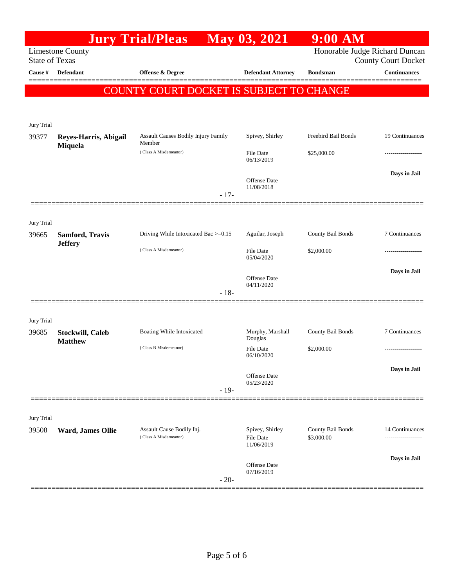|                       |                                           | <b>Jury Trial/Pleas</b>                            |        | May 03, 2021                        | $9:00$ AM                       |                            |
|-----------------------|-------------------------------------------|----------------------------------------------------|--------|-------------------------------------|---------------------------------|----------------------------|
| <b>State of Texas</b> | <b>Limestone County</b>                   |                                                    |        |                                     | Honorable Judge Richard Duncan  | <b>County Court Docket</b> |
| Cause #               | <b>Defendant</b>                          | Offense & Degree                                   |        | <b>Defendant Attorney</b>           | <b>Bondsman</b>                 | <b>Continuances</b>        |
|                       |                                           | COUNTY COURT DOCKET IS SUBJECT TO CHANGE           |        |                                     |                                 |                            |
| Jury Trial            |                                           |                                                    |        |                                     |                                 |                            |
| 39377                 | Reyes-Harris, Abigail<br>Miquela          | Assault Causes Bodily Injury Family<br>Member      |        | Spivey, Shirley                     | Freebird Bail Bonds             | 19 Continuances            |
|                       |                                           | (Class A Misdemeanor)                              |        | <b>File Date</b><br>06/13/2019      | \$25,000.00                     |                            |
|                       |                                           |                                                    | $-17-$ | Offense Date<br>11/08/2018          |                                 | Days in Jail               |
|                       |                                           |                                                    |        |                                     |                                 |                            |
| Jury Trial            |                                           |                                                    |        |                                     |                                 |                            |
| 39665                 | Samford, Travis<br><b>Jeffery</b>         | Driving While Intoxicated Bac >=0.15               |        | Aguilar, Joseph                     | County Bail Bonds               | 7 Continuances             |
|                       |                                           | (Class A Misdemeanor)                              |        | File Date<br>05/04/2020             | \$2,000.00                      |                            |
|                       |                                           |                                                    |        | Offense Date<br>04/11/2020          |                                 | Days in Jail               |
|                       |                                           |                                                    | $-18-$ |                                     |                                 |                            |
| Jury Trial            |                                           |                                                    |        |                                     |                                 |                            |
| 39685                 | <b>Stockwill, Caleb</b><br><b>Matthew</b> | Boating While Intoxicated                          |        | Murphy, Marshall<br>Douglas         | County Bail Bonds               | 7 Continuances             |
|                       |                                           | (Class B Misdemeanor)                              |        | <b>File Date</b><br>06/10/2020      | \$2,000.00                      |                            |
|                       |                                           |                                                    |        | Offense Date                        |                                 | Days in Jail               |
|                       |                                           |                                                    | $-19-$ | 05/23/2020                          |                                 |                            |
| Jury Trial            |                                           |                                                    |        |                                     |                                 |                            |
| 39508                 | Ward, James Ollie                         | Assault Cause Bodily Inj.<br>(Class A Misdemeanor) |        | Spivey, Shirley<br><b>File Date</b> | County Bail Bonds<br>\$3,000.00 | 14 Continuances            |
|                       |                                           |                                                    |        | 11/06/2019<br><b>Offense Date</b>   |                                 | Days in Jail               |
|                       |                                           |                                                    | $-20-$ | 07/16/2019                          |                                 |                            |